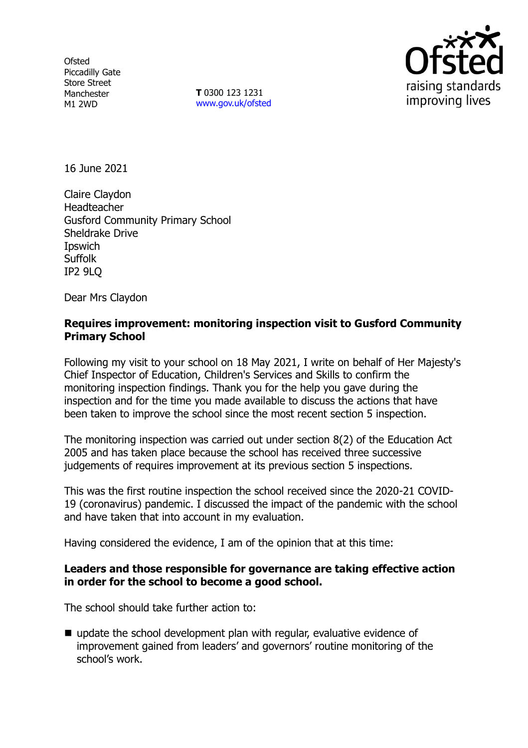**Ofsted** Piccadilly Gate Store Street Manchester M1 2WD

**T** 0300 123 1231 [www.gov.uk/ofsted](http://www.gov.uk/ofsted)



16 June 2021

Claire Claydon Headteacher Gusford Community Primary School Sheldrake Drive **I**pswich **Suffolk** IP2 9LQ

Dear Mrs Claydon

### **Requires improvement: monitoring inspection visit to Gusford Community Primary School**

Following my visit to your school on 18 May 2021, I write on behalf of Her Majesty's Chief Inspector of Education, Children's Services and Skills to confirm the monitoring inspection findings. Thank you for the help you gave during the inspection and for the time you made available to discuss the actions that have been taken to improve the school since the most recent section 5 inspection.

The monitoring inspection was carried out under section 8(2) of the Education Act 2005 and has taken place because the school has received three successive judgements of requires improvement at its previous section 5 inspections.

This was the first routine inspection the school received since the 2020-21 COVID-19 (coronavirus) pandemic. I discussed the impact of the pandemic with the school and have taken that into account in my evaluation.

Having considered the evidence, I am of the opinion that at this time:

### **Leaders and those responsible for governance are taking effective action in order for the school to become a good school.**

The school should take further action to:

update the school development plan with regular, evaluative evidence of improvement gained from leaders' and governors' routine monitoring of the school's work.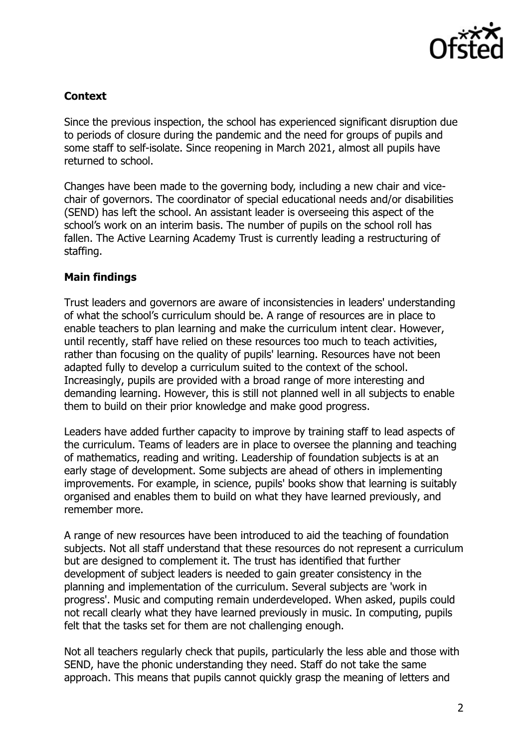

# **Context**

Since the previous inspection, the school has experienced significant disruption due to periods of closure during the pandemic and the need for groups of pupils and some staff to self-isolate. Since reopening in March 2021, almost all pupils have returned to school.

Changes have been made to the governing body, including a new chair and vicechair of governors. The coordinator of special educational needs and/or disabilities (SEND) has left the school. An assistant leader is overseeing this aspect of the school's work on an interim basis. The number of pupils on the school roll has fallen. The Active Learning Academy Trust is currently leading a restructuring of staffing.

### **Main findings**

Trust leaders and governors are aware of inconsistencies in leaders' understanding of what the school's curriculum should be. A range of resources are in place to enable teachers to plan learning and make the curriculum intent clear. However, until recently, staff have relied on these resources too much to teach activities, rather than focusing on the quality of pupils' learning. Resources have not been adapted fully to develop a curriculum suited to the context of the school. Increasingly, pupils are provided with a broad range of more interesting and demanding learning. However, this is still not planned well in all subjects to enable them to build on their prior knowledge and make good progress.

Leaders have added further capacity to improve by training staff to lead aspects of the curriculum. Teams of leaders are in place to oversee the planning and teaching of mathematics, reading and writing. Leadership of foundation subjects is at an early stage of development. Some subjects are ahead of others in implementing improvements. For example, in science, pupils' books show that learning is suitably organised and enables them to build on what they have learned previously, and remember more.

A range of new resources have been introduced to aid the teaching of foundation subjects. Not all staff understand that these resources do not represent a curriculum but are designed to complement it. The trust has identified that further development of subject leaders is needed to gain greater consistency in the planning and implementation of the curriculum. Several subjects are 'work in progress'. Music and computing remain underdeveloped. When asked, pupils could not recall clearly what they have learned previously in music. In computing, pupils felt that the tasks set for them are not challenging enough.

Not all teachers regularly check that pupils, particularly the less able and those with SEND, have the phonic understanding they need. Staff do not take the same approach. This means that pupils cannot quickly grasp the meaning of letters and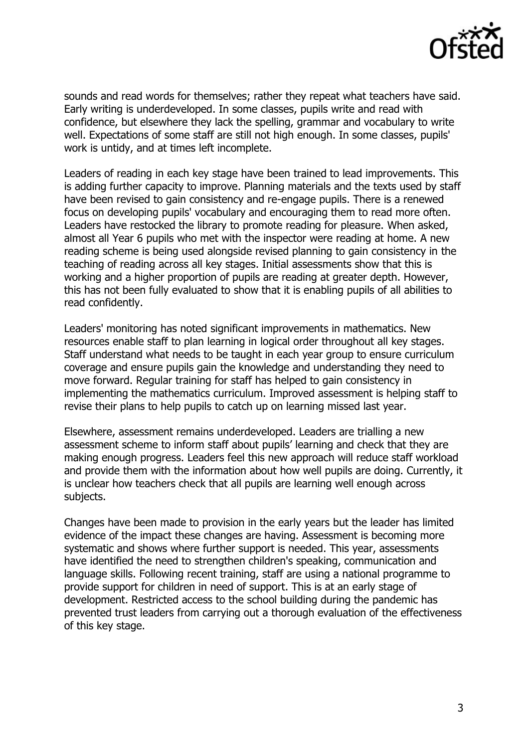

sounds and read words for themselves; rather they repeat what teachers have said. Early writing is underdeveloped. In some classes, pupils write and read with confidence, but elsewhere they lack the spelling, grammar and vocabulary to write well. Expectations of some staff are still not high enough. In some classes, pupils' work is untidy, and at times left incomplete.

Leaders of reading in each key stage have been trained to lead improvements. This is adding further capacity to improve. Planning materials and the texts used by staff have been revised to gain consistency and re-engage pupils. There is a renewed focus on developing pupils' vocabulary and encouraging them to read more often. Leaders have restocked the library to promote reading for pleasure. When asked, almost all Year 6 pupils who met with the inspector were reading at home. A new reading scheme is being used alongside revised planning to gain consistency in the teaching of reading across all key stages. Initial assessments show that this is working and a higher proportion of pupils are reading at greater depth. However, this has not been fully evaluated to show that it is enabling pupils of all abilities to read confidently.

Leaders' monitoring has noted significant improvements in mathematics. New resources enable staff to plan learning in logical order throughout all key stages. Staff understand what needs to be taught in each year group to ensure curriculum coverage and ensure pupils gain the knowledge and understanding they need to move forward. Regular training for staff has helped to gain consistency in implementing the mathematics curriculum. Improved assessment is helping staff to revise their plans to help pupils to catch up on learning missed last year.

Elsewhere, assessment remains underdeveloped. Leaders are trialling a new assessment scheme to inform staff about pupils' learning and check that they are making enough progress. Leaders feel this new approach will reduce staff workload and provide them with the information about how well pupils are doing. Currently, it is unclear how teachers check that all pupils are learning well enough across subjects.

Changes have been made to provision in the early years but the leader has limited evidence of the impact these changes are having. Assessment is becoming more systematic and shows where further support is needed. This year, assessments have identified the need to strengthen children's speaking, communication and language skills. Following recent training, staff are using a national programme to provide support for children in need of support. This is at an early stage of development. Restricted access to the school building during the pandemic has prevented trust leaders from carrying out a thorough evaluation of the effectiveness of this key stage.